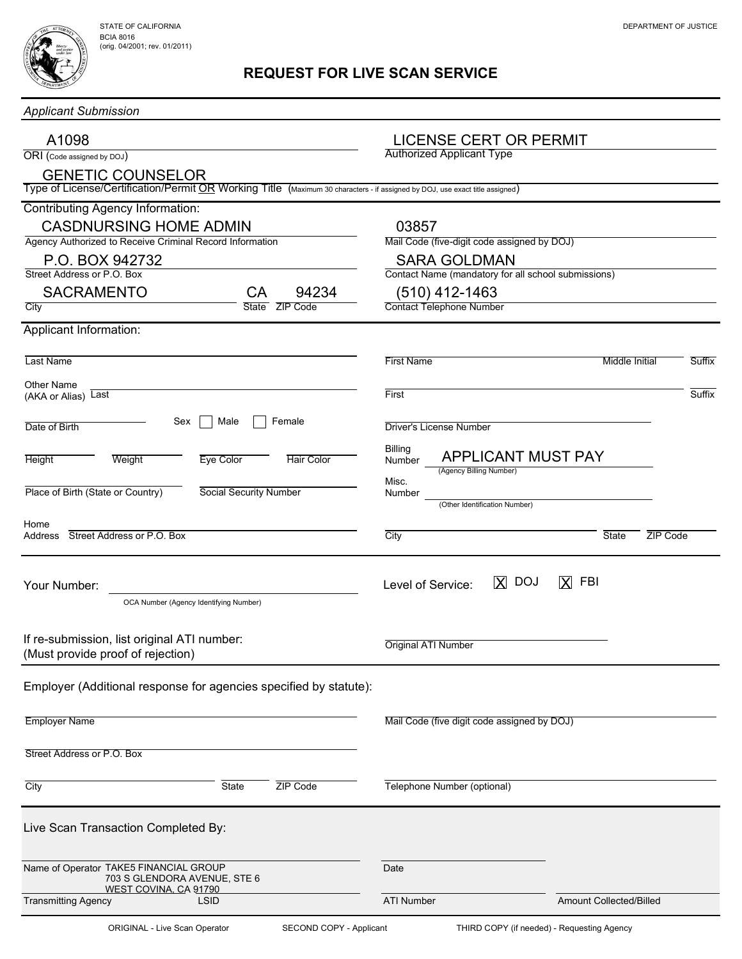## REQUEST FOR LIVE SCAN SERVICE

| <b>Applicant Submission</b>                                                                                                                              |                                                                            |                           |               |  |  |  |  |
|----------------------------------------------------------------------------------------------------------------------------------------------------------|----------------------------------------------------------------------------|---------------------------|---------------|--|--|--|--|
| A1098<br>ORI (Code assigned by DOJ)                                                                                                                      | <b>LICENSE CERT OR PERMIT</b><br><b>Authorized Applicant Type</b>          |                           |               |  |  |  |  |
| <b>GENETIC COUNSELOR</b><br>Type of License/Certification/Permit OR Working Title (Maximum 30 characters - if assigned by DOJ, use exact title assigned) |                                                                            |                           |               |  |  |  |  |
| Contributing Agency Information:<br><b>CASDNURSING HOME ADMIN</b>                                                                                        | 03857                                                                      |                           |               |  |  |  |  |
| Agency Authorized to Receive Criminal Record Information                                                                                                 | Mail Code (five-digit code assigned by DOJ)                                |                           |               |  |  |  |  |
| P.O. BOX 942732<br>Street Address or P.O. Box                                                                                                            | <b>SARA GOLDMAN</b><br>Contact Name (mandatory for all school submissions) |                           |               |  |  |  |  |
| <b>SACRAMENTO</b><br>94234<br>CA                                                                                                                         | (510) 412-1463                                                             |                           |               |  |  |  |  |
| ZIP Code<br>City<br><b>State</b>                                                                                                                         | <b>Contact Telephone Number</b>                                            |                           |               |  |  |  |  |
| Applicant Information:                                                                                                                                   |                                                                            |                           |               |  |  |  |  |
| Last Name                                                                                                                                                | <b>First Name</b>                                                          | Middle Initial            | <b>Suffix</b> |  |  |  |  |
| <b>Other Name</b><br>(AKA or Alias) Last                                                                                                                 | First                                                                      |                           | Suffix        |  |  |  |  |
| Female<br>Sex<br>Male<br>Date of Birth                                                                                                                   | <b>Driver's License Number</b>                                             |                           |               |  |  |  |  |
| Weight<br><b>Eye Color</b><br><b>Hair Color</b><br><b>Height</b>                                                                                         | Billing<br><b>APPLICANT MUST PAY</b><br>Number<br>(Agency Billing Number)  |                           |               |  |  |  |  |
| Place of Birth (State or Country)<br>Social Security Number                                                                                              | Misc.<br>Number<br>(Other Identification Number)                           |                           |               |  |  |  |  |
| Home<br>Address Street Address or P.O. Box                                                                                                               | City                                                                       | <b>State</b><br>ZIP Code  |               |  |  |  |  |
| Your Number:<br>OCA Number (Agency Identifying Number)                                                                                                   | <b>X</b> DOJ<br>Level of Service:                                          | $\mathsf X$<br><b>FBI</b> |               |  |  |  |  |
| If re-submission, list original ATI number:<br>(Must provide proof of rejection)                                                                         | Original ATI Number                                                        |                           |               |  |  |  |  |
| Employer (Additional response for agencies specified by statute):                                                                                        |                                                                            |                           |               |  |  |  |  |
| <b>Employer Name</b>                                                                                                                                     | Mail Code (five digit code assigned by DOJ)                                |                           |               |  |  |  |  |
| Street Address or P.O. Box                                                                                                                               |                                                                            |                           |               |  |  |  |  |
| City<br>State<br>ZIP Code                                                                                                                                | Telephone Number (optional)                                                |                           |               |  |  |  |  |
| Live Scan Transaction Completed By:                                                                                                                      |                                                                            |                           |               |  |  |  |  |
| Name of Operator TAKE5 FINANCIAL GROUP<br>703 S GLENDORA AVENUE, STE 6<br>WEST COVINA, CA 91790                                                          | Date                                                                       |                           |               |  |  |  |  |
| <b>Transmitting Agency</b><br><b>LSID</b>                                                                                                                | <b>ATI Number</b>                                                          | Amount Collected/Billed   |               |  |  |  |  |